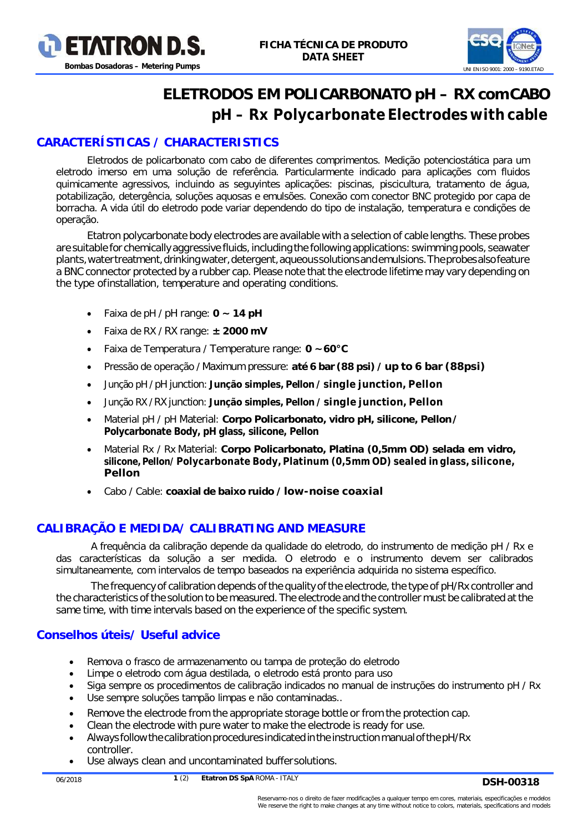



# **ELETRODOS EM POLICARBONATO pH – RX comCABO** *pH – Rx Polycarbonate Electrodes with cable*

## *CARACTERÍSTICAS / CHARACTERISTICS*

Eletrodos de policarbonato com cabo de diferentes comprimentos. Medição potenciostática para um eletrodo imerso em uma solução de referência. Particularmente indicado para aplicações com fluidos quimicamente agressivos, incluindo as seguyintes aplicações: piscinas, piscicultura, tratamento de água, potabilização, detergência, soluções aquosas e emulsões. Conexão com conector BNC protegido por capa de borracha. A vida útil do eletrodo pode variar dependendo do tipo de instalação, temperatura e condições de operação.

*Etatron polycarbonate body electrodes are available with a selection of cable lengths. These probes are suitable for chemically aggressive fluids,includingthe following applications: swimming pools, seawater plants,watertreatment,drinkingwater,detergent,aqueoussolutionsandemulsions.Theprobesalsofeature*  a BNC connector protected by a rubber cap. Please note that the electrode lifetime may vary depending on *the type ofinstallation, temperature and operating conditions.*

- Faixa de pH / *pH range*: **0 ~ 14 pH**
- Faixa de RX / *RX range*: **± 2000 mV**
- Faixa de Temperatura / *Temperature range:* **0 ~60°C**
- Pressão de operação / *Maximum pressure:* **até 6 bar (88 psi) /***up to 6 bar (88psi)*
- Junção pH / *pH junction*: **Junção simples, Pellon /** *single junction, Pellon*
- Junção RX /*RX junction*: **Junção simples, Pellon /** *single junction, Pellon*
- Material pH / pH *Material*: **Corpo Policarbonato, vidro pH, silicone, Pellon/** *Polycarbonate Body, pH glass, silicone, Pellon*
- Material Rx / Rx *Material*: **Corpo Policarbonato, Platina (0,5mm OD) selada em vidro, silicone, Pellon/** *Polycarbonate Body, Platinum (0,5mm OD) sealed in glass, silicone, Pellon*
- Cabo / Cable: **coaxial de baixo ruido /** *low-noise coaxial*

#### *CALIBRAÇÃO E MEDIDA/ CALIBRATING AND MEASURE*

A frequência da calibração depende da qualidade do eletrodo, do instrumento de medição pH / Rx e das características da solução a ser medida. O eletrodo e o instrumento devem ser calibrados simultaneamente, com intervalos de tempo baseados na experiência adquirida no sistema específico.

*The frequency of calibration depends ofthe quality ofthe electrode, the type of pH/Rx controller and*  the characteristics of the solution to be measured. The electrode and the controller must be calibrated at the *same time, with time intervals based on the experience of the specific system.*

#### *Conselhos úteis/ Useful advice*

- Remova o frasco de armazenamento ou tampa de proteção do eletrodo
- Limpe o eletrodo com água destilada, o eletrodo está pronto para uso
- Siga sempre os procedimentos de calibração indicados no manual de instruções do instrumento pH / Rx
- Use sempre soluções tampão limpas e não contaminadas..
- *Remove the electrode from the appropriate storage bottle or from the protection cap.*
- *Clean the electrode with pure water to make the electrode is ready for use.*
- *Always followthecalibrationprocedures indicatedinthe instructionmanualofthepH/Rx controller.*
- *Use always clean and uncontaminated buffersolutions.*